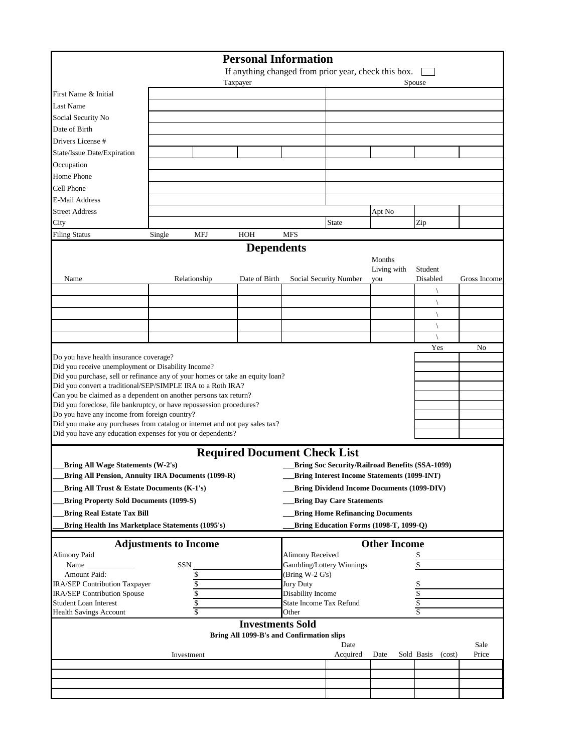|                                                                                                                      |                              |                          | <b>Personal Information</b>                          |                         |                                  |                                                        |                         |              |
|----------------------------------------------------------------------------------------------------------------------|------------------------------|--------------------------|------------------------------------------------------|-------------------------|----------------------------------|--------------------------------------------------------|-------------------------|--------------|
|                                                                                                                      |                              |                          | If anything changed from prior year, check this box. |                         |                                  |                                                        |                         |              |
|                                                                                                                      |                              |                          | Taxpayer                                             |                         |                                  |                                                        | Spouse                  |              |
| First Name & Initial                                                                                                 |                              |                          |                                                      |                         |                                  |                                                        |                         |              |
| Last Name                                                                                                            |                              |                          |                                                      |                         |                                  |                                                        |                         |              |
| Social Security No                                                                                                   |                              |                          |                                                      |                         |                                  |                                                        |                         |              |
| Date of Birth                                                                                                        |                              |                          |                                                      |                         |                                  |                                                        |                         |              |
| Drivers License #                                                                                                    |                              |                          |                                                      |                         |                                  |                                                        |                         |              |
| State/Issue Date/Expiration                                                                                          |                              |                          |                                                      |                         |                                  |                                                        |                         |              |
| Occupation                                                                                                           |                              |                          |                                                      |                         |                                  |                                                        |                         |              |
| Home Phone                                                                                                           |                              |                          |                                                      |                         |                                  |                                                        |                         |              |
| Cell Phone                                                                                                           |                              |                          |                                                      |                         |                                  |                                                        |                         |              |
| E-Mail Address                                                                                                       |                              |                          |                                                      |                         |                                  |                                                        |                         |              |
| <b>Street Address</b>                                                                                                |                              |                          |                                                      |                         |                                  | Apt No                                                 |                         |              |
| City                                                                                                                 |                              |                          |                                                      |                         | <b>State</b>                     |                                                        | Zip                     |              |
| <b>Filing Status</b>                                                                                                 | Single                       | <b>MFJ</b>               | HOH                                                  | <b>MFS</b>              |                                  |                                                        |                         |              |
|                                                                                                                      |                              |                          | <b>Dependents</b>                                    |                         |                                  |                                                        |                         |              |
|                                                                                                                      |                              |                          |                                                      |                         |                                  | Months                                                 |                         |              |
|                                                                                                                      |                              |                          |                                                      |                         |                                  | Living with                                            | Student                 |              |
| Name                                                                                                                 |                              | Relationship             | Date of Birth                                        |                         | Social Security Number           | you                                                    | Disabled                | Gross Income |
|                                                                                                                      |                              |                          |                                                      |                         |                                  |                                                        |                         |              |
|                                                                                                                      |                              |                          |                                                      |                         |                                  |                                                        |                         |              |
|                                                                                                                      |                              |                          |                                                      |                         |                                  |                                                        |                         |              |
|                                                                                                                      |                              |                          |                                                      |                         |                                  |                                                        |                         |              |
|                                                                                                                      |                              |                          |                                                      |                         |                                  |                                                        |                         |              |
|                                                                                                                      |                              |                          |                                                      |                         |                                  |                                                        | Yes                     | No           |
| Do you have health insurance coverage?                                                                               |                              |                          |                                                      |                         |                                  |                                                        |                         |              |
| Did you receive unemployment or Disability Income?                                                                   |                              |                          |                                                      |                         |                                  |                                                        |                         |              |
| Did you purchase, sell or refinance any of your homes or take an equity loan?                                        |                              |                          |                                                      |                         |                                  |                                                        |                         |              |
| Did you convert a traditional/SEP/SIMPLE IRA to a Roth IRA?                                                          |                              |                          |                                                      |                         |                                  |                                                        |                         |              |
| Can you be claimed as a dependent on another persons tax return?                                                     |                              |                          |                                                      |                         |                                  |                                                        |                         |              |
| Did you foreclose, file bankruptcy, or have repossession procedures?<br>Do you have any income from foreign country? |                              |                          |                                                      |                         |                                  |                                                        |                         |              |
| Did you make any purchases from catalog or internet and not pay sales tax?                                           |                              |                          |                                                      |                         |                                  |                                                        |                         |              |
| Did you have any education expenses for you or dependents?                                                           |                              |                          |                                                      |                         |                                  |                                                        |                         |              |
|                                                                                                                      |                              |                          |                                                      |                         |                                  |                                                        |                         |              |
|                                                                                                                      |                              |                          | <b>Required Document Check List</b>                  |                         |                                  |                                                        |                         |              |
| Bring All Wage Statements (W-2's)                                                                                    |                              |                          |                                                      |                         |                                  | <b>Bring Soc Security/Railroad Benefits (SSA-1099)</b> |                         |              |
| <b>Bring All Pension, Annuity IRA Documents (1099-R)</b>                                                             |                              |                          |                                                      |                         |                                  | <b>Bring Interest Income Statements (1099-INT)</b>     |                         |              |
| Bring All Trust & Estate Documents (K-1's)                                                                           |                              |                          |                                                      |                         |                                  | <b>Bring Dividend Income Documents (1099-DIV)</b>      |                         |              |
| <b>Bring Property Sold Documents (1099-S)</b>                                                                        |                              |                          |                                                      |                         | <b>Bring Day Care Statements</b> |                                                        |                         |              |
|                                                                                                                      |                              |                          |                                                      |                         |                                  |                                                        |                         |              |
| <b>Bring Real Estate Tax Bill</b>                                                                                    |                              |                          |                                                      |                         |                                  | <b>Bring Home Refinancing Documents</b>                |                         |              |
| Bring Health Ins Marketplace Statements (1095's)                                                                     |                              |                          |                                                      |                         |                                  | Bring Education Forms (1098-T, 1099-Q)                 |                         |              |
|                                                                                                                      | <b>Adjustments to Income</b> |                          |                                                      |                         |                                  | <b>Other Income</b>                                    |                         |              |
| <b>Alimony Paid</b>                                                                                                  |                              |                          |                                                      | <b>Alimony Received</b> |                                  |                                                        | S                       |              |
| Name _                                                                                                               |                              | SSN                      |                                                      |                         | Gambling/Lottery Winnings        |                                                        | $\overline{\mathbf{S}}$ |              |
| Amount Paid:                                                                                                         |                              | \$                       |                                                      | (Bring W-2 G's)         |                                  |                                                        |                         |              |
| IRA/SEP Contribution Taxpayer                                                                                        |                              |                          |                                                      | Jury Duty               |                                  |                                                        |                         |              |
| IRA/SEP Contribution Spouse                                                                                          |                              | $\frac{6}{3}$            |                                                      | Disability Income       |                                  |                                                        | $rac{S}{S}$             |              |
| <b>Student Loan Interest</b>                                                                                         |                              | $\sqrt{\frac{1}{2}}$     |                                                      | State Income Tax Refund |                                  |                                                        | $\mathbf S$             |              |
| <b>Health Savings Account</b>                                                                                        |                              | $\overline{\mathcal{S}}$ |                                                      | Other                   |                                  |                                                        | $\overline{s}$          |              |
|                                                                                                                      |                              |                          | <b>Investments Sold</b>                              |                         |                                  |                                                        |                         |              |
|                                                                                                                      |                              |                          | Bring All 1099-B's and Confirmation slips            |                         |                                  |                                                        |                         |              |
|                                                                                                                      |                              |                          |                                                      |                         | Date                             |                                                        |                         | Sale         |
|                                                                                                                      |                              | Investment               |                                                      |                         | Acquired                         | Date                                                   | Sold Basis<br>(cost)    | Price        |
|                                                                                                                      |                              |                          |                                                      |                         |                                  |                                                        |                         |              |
|                                                                                                                      |                              |                          |                                                      |                         |                                  |                                                        |                         |              |
|                                                                                                                      |                              |                          |                                                      |                         |                                  |                                                        |                         |              |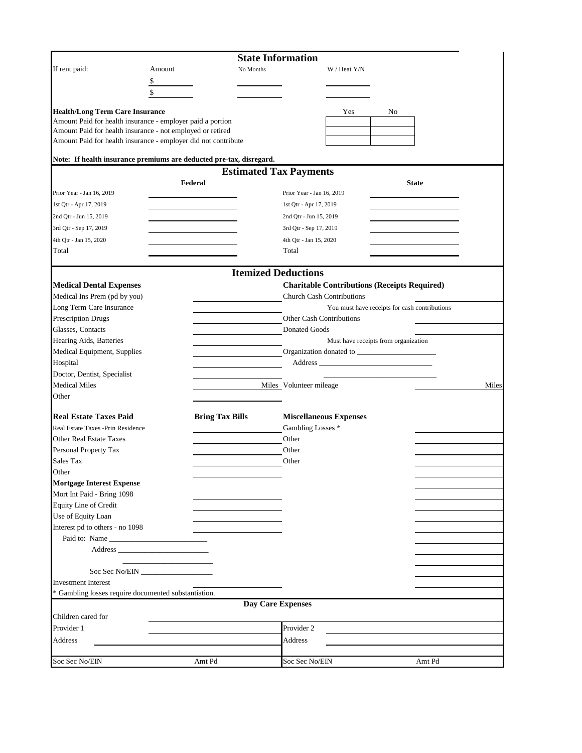|                                                                                                      |                        | <b>State Information</b>      |                                  |              |                                                     |              |       |
|------------------------------------------------------------------------------------------------------|------------------------|-------------------------------|----------------------------------|--------------|-----------------------------------------------------|--------------|-------|
| If rent paid:                                                                                        | Amount                 | No Months                     |                                  | W / Heat Y/N |                                                     |              |       |
|                                                                                                      | \$                     |                               |                                  |              |                                                     |              |       |
|                                                                                                      | \$                     |                               |                                  |              |                                                     |              |       |
|                                                                                                      |                        |                               |                                  |              |                                                     |              |       |
| <b>Health/Long Term Care Insurance</b><br>Amount Paid for health insurance - employer paid a portion |                        |                               |                                  | Yes          | No                                                  |              |       |
| Amount Paid for health insurance - not employed or retired                                           |                        |                               |                                  |              |                                                     |              |       |
| Amount Paid for health insurance - employer did not contribute                                       |                        |                               |                                  |              |                                                     |              |       |
|                                                                                                      |                        |                               |                                  |              |                                                     |              |       |
| Note: If health insurance premiums are deducted pre-tax, disregard.                                  |                        |                               |                                  |              |                                                     |              |       |
|                                                                                                      |                        | <b>Estimated Tax Payments</b> |                                  |              |                                                     |              |       |
|                                                                                                      | Federal                |                               |                                  |              |                                                     | <b>State</b> |       |
| Prior Year - Jan 16, 2019                                                                            |                        |                               | Prior Year - Jan 16, 2019        |              |                                                     |              |       |
| 1st Qtr - Apr 17, 2019                                                                               |                        |                               | 1st Qtr - Apr 17, 2019           |              |                                                     |              |       |
| 2nd Qtr - Jun 15, 2019                                                                               |                        |                               | 2nd Qtr - Jun 15, 2019           |              |                                                     |              |       |
| 3rd Qtr - Sep 17, 2019                                                                               |                        |                               | 3rd Qtr - Sep 17, 2019           |              |                                                     |              |       |
| 4th Otr - Jan 15, 2020                                                                               |                        |                               | 4th Otr - Jan 15, 2020           |              |                                                     |              |       |
| Total                                                                                                |                        |                               | Total                            |              |                                                     |              |       |
|                                                                                                      |                        | <b>Itemized Deductions</b>    |                                  |              |                                                     |              |       |
| <b>Medical Dental Expenses</b>                                                                       |                        |                               |                                  |              | <b>Charitable Contributions (Receipts Required)</b> |              |       |
| Medical Ins Prem (pd by you)                                                                         |                        |                               | <b>Church Cash Contributions</b> |              |                                                     |              |       |
| Long Term Care Insurance                                                                             |                        |                               |                                  |              | You must have receipts for cash contributions       |              |       |
| <b>Prescription Drugs</b>                                                                            |                        |                               | Other Cash Contributions         |              |                                                     |              |       |
| Glasses, Contacts                                                                                    |                        |                               | <b>Donated Goods</b>             |              |                                                     |              |       |
| Hearing Aids, Batteries                                                                              |                        |                               |                                  |              | Must have receipts from organization                |              |       |
| Medical Equipment, Supplies                                                                          |                        |                               |                                  |              |                                                     |              |       |
| Hospital                                                                                             |                        |                               |                                  |              |                                                     |              |       |
| Doctor, Dentist, Specialist                                                                          |                        |                               |                                  |              |                                                     |              |       |
| <b>Medical Miles</b>                                                                                 |                        |                               | Miles Volunteer mileage          |              |                                                     |              | Miles |
| Other                                                                                                |                        |                               |                                  |              |                                                     |              |       |
| <b>Real Estate Taxes Paid</b>                                                                        | <b>Bring Tax Bills</b> |                               | <b>Miscellaneous Expenses</b>    |              |                                                     |              |       |
| Real Estate Taxes -Prin Residence                                                                    |                        |                               | Gambling Losses *                |              |                                                     |              |       |
| <b>Other Real Estate Taxes</b>                                                                       |                        |                               | Other                            |              |                                                     |              |       |
| Personal Property Tax                                                                                |                        |                               | Other                            |              |                                                     |              |       |
| Sales Tax                                                                                            |                        |                               | Other                            |              |                                                     |              |       |
| Other                                                                                                |                        |                               |                                  |              |                                                     |              |       |
| <b>Mortgage Interest Expense</b>                                                                     |                        |                               |                                  |              |                                                     |              |       |
| Mort Int Paid - Bring 1098                                                                           |                        |                               |                                  |              |                                                     |              |       |
| Equity Line of Credit                                                                                |                        |                               |                                  |              |                                                     |              |       |
| Use of Equity Loan                                                                                   |                        |                               |                                  |              |                                                     |              |       |
| Interest pd to others - no 1098                                                                      |                        |                               |                                  |              |                                                     |              |       |
| Paid to: Name                                                                                        |                        |                               |                                  |              |                                                     |              |       |
|                                                                                                      |                        |                               |                                  |              |                                                     |              |       |
|                                                                                                      |                        |                               |                                  |              |                                                     |              |       |
|                                                                                                      | Soc Sec No/EIN         |                               |                                  |              |                                                     |              |       |
| <b>Investment Interest</b>                                                                           |                        |                               |                                  |              |                                                     |              |       |
| * Gambling losses require documented substantiation.                                                 |                        |                               |                                  |              |                                                     |              |       |
| Children cared for                                                                                   |                        | <b>Day Care Expenses</b>      |                                  |              |                                                     |              |       |
| Provider 1                                                                                           |                        |                               | Provider 2                       |              |                                                     |              |       |
| Address                                                                                              |                        |                               | Address                          |              |                                                     |              |       |
|                                                                                                      |                        |                               |                                  |              |                                                     |              |       |
| Soc Sec No/EIN                                                                                       | Amt Pd                 |                               | Soc Sec No/EIN                   |              |                                                     | Amt Pd       |       |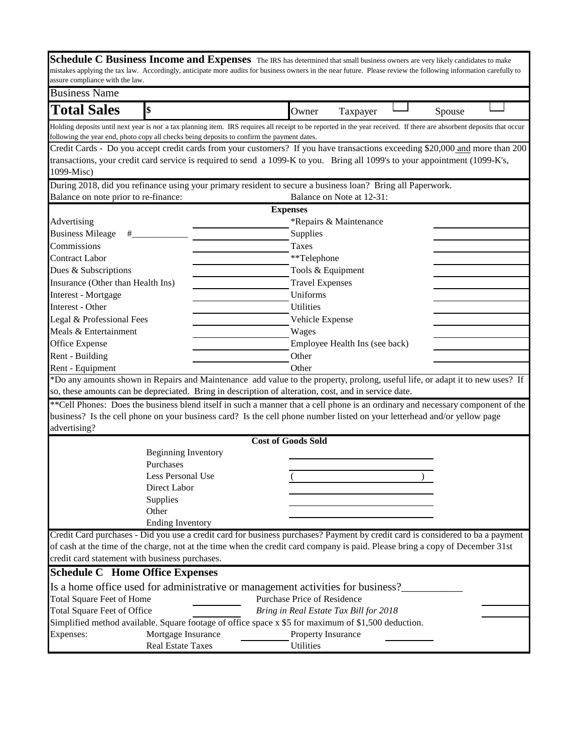|                                                | Schedule C Business Income and Expenses The IRS has determined that small business owners are very likely candidates to make                                                                                                                                        |                                        |                                |        |  |
|------------------------------------------------|---------------------------------------------------------------------------------------------------------------------------------------------------------------------------------------------------------------------------------------------------------------------|----------------------------------------|--------------------------------|--------|--|
|                                                | mistakes applying the tax law. Accordingly, anticipate more audits for business owners in the near future. Please review the following information carefully to                                                                                                     |                                        |                                |        |  |
| assure compliance with the law.                |                                                                                                                                                                                                                                                                     |                                        |                                |        |  |
| <b>Business Name</b>                           |                                                                                                                                                                                                                                                                     |                                        |                                |        |  |
| <b>Total Sales</b>                             | \$                                                                                                                                                                                                                                                                  | Owner                                  | Taxpayer                       | Spouse |  |
|                                                | Holding deposits until next year is not a tax planning item. IRS requires all receipt to be reported in the year received. If there are absorbent deposits that occur<br>following the year end, photo copy all checks being deposits to confirm the payment dates. |                                        |                                |        |  |
|                                                | Credit Cards - Do you accept credit cards from your customers? If you have transactions exceeding \$20,000 and more than 200                                                                                                                                        |                                        |                                |        |  |
|                                                | transactions, your credit card service is required to send a 1099-K to you. Bring all 1099's to your appointment (1099-K's,                                                                                                                                         |                                        |                                |        |  |
| 1099-Misc)                                     |                                                                                                                                                                                                                                                                     |                                        |                                |        |  |
|                                                | During 2018, did you refinance using your primary resident to secure a business loan? Bring all Paperwork.                                                                                                                                                          |                                        |                                |        |  |
| Balance on note prior to re-finance:           |                                                                                                                                                                                                                                                                     |                                        | Balance on Note at 12-31:      |        |  |
|                                                |                                                                                                                                                                                                                                                                     | <b>Expenses</b>                        |                                |        |  |
| Advertising                                    |                                                                                                                                                                                                                                                                     |                                        | *Repairs & Maintenance         |        |  |
| <b>Business Mileage</b><br>#                   |                                                                                                                                                                                                                                                                     | Supplies                               |                                |        |  |
| Commissions                                    |                                                                                                                                                                                                                                                                     | <b>Taxes</b>                           |                                |        |  |
| <b>Contract Labor</b>                          |                                                                                                                                                                                                                                                                     | **Telephone                            |                                |        |  |
| Dues & Subscriptions                           |                                                                                                                                                                                                                                                                     | Tools & Equipment                      |                                |        |  |
| Insurance (Other than Health Ins)              |                                                                                                                                                                                                                                                                     | <b>Travel Expenses</b>                 |                                |        |  |
| <b>Interest</b> - Mortgage                     |                                                                                                                                                                                                                                                                     | Uniforms                               |                                |        |  |
| Interest - Other                               |                                                                                                                                                                                                                                                                     | <b>Utilities</b>                       |                                |        |  |
| Legal & Professional Fees                      |                                                                                                                                                                                                                                                                     | Vehicle Expense                        |                                |        |  |
| Meals & Entertainment                          |                                                                                                                                                                                                                                                                     | Wages                                  |                                |        |  |
| Office Expense                                 |                                                                                                                                                                                                                                                                     |                                        | Employee Health Ins (see back) |        |  |
| Rent - Building                                |                                                                                                                                                                                                                                                                     | Other                                  |                                |        |  |
| Rent - Equipment                               |                                                                                                                                                                                                                                                                     | Other                                  |                                |        |  |
|                                                | *Do any amounts shown in Repairs and Maintenance add value to the property, prolong, useful life, or adapt it to new uses? If                                                                                                                                       |                                        |                                |        |  |
|                                                | so, these amounts can be depreciated. Bring in description of alteration, cost, and in service date.                                                                                                                                                                |                                        |                                |        |  |
|                                                | ** Cell Phones: Does the business blend itself in such a manner that a cell phone is an ordinary and necessary component of the                                                                                                                                     |                                        |                                |        |  |
|                                                | business? Is the cell phone on your business card? Is the cell phone number listed on your letterhead and/or yellow page                                                                                                                                            |                                        |                                |        |  |
| advertising?                                   |                                                                                                                                                                                                                                                                     |                                        |                                |        |  |
|                                                |                                                                                                                                                                                                                                                                     | <b>Cost of Goods Sold</b>              |                                |        |  |
|                                                | <b>Beginning Inventory</b>                                                                                                                                                                                                                                          |                                        |                                |        |  |
|                                                | Purchases                                                                                                                                                                                                                                                           |                                        |                                |        |  |
|                                                | Less Personal Use                                                                                                                                                                                                                                                   |                                        |                                |        |  |
|                                                | Direct Labor                                                                                                                                                                                                                                                        |                                        |                                |        |  |
|                                                | Supplies                                                                                                                                                                                                                                                            |                                        |                                |        |  |
|                                                | Other                                                                                                                                                                                                                                                               |                                        |                                |        |  |
|                                                | <b>Ending Inventory</b>                                                                                                                                                                                                                                             |                                        |                                |        |  |
|                                                | Credit Card purchases - Did you use a credit card for business purchases? Payment by credit card is considered to ba a payment                                                                                                                                      |                                        |                                |        |  |
|                                                | of cash at the time of the charge, not at the time when the credit card company is paid. Please bring a copy of December 31st                                                                                                                                       |                                        |                                |        |  |
| credit card statement with business purchases. |                                                                                                                                                                                                                                                                     |                                        |                                |        |  |
| <b>Schedule C</b> Home Office Expenses         |                                                                                                                                                                                                                                                                     |                                        |                                |        |  |
|                                                | Is a home office used for administrative or management activities for business?                                                                                                                                                                                     |                                        |                                |        |  |
| <b>Total Square Feet of Home</b>               |                                                                                                                                                                                                                                                                     | Purchase Price of Residence            |                                |        |  |
| Total Square Feet of Office                    |                                                                                                                                                                                                                                                                     | Bring in Real Estate Tax Bill for 2018 |                                |        |  |
|                                                | Simplified method available. Square footage of office space x \$5 for maximum of \$1,500 deduction.                                                                                                                                                                 |                                        |                                |        |  |
| Expenses:                                      | Mortgage Insurance                                                                                                                                                                                                                                                  | Property Insurance                     |                                |        |  |
|                                                | Real Estate Taxes                                                                                                                                                                                                                                                   | Utilities                              |                                |        |  |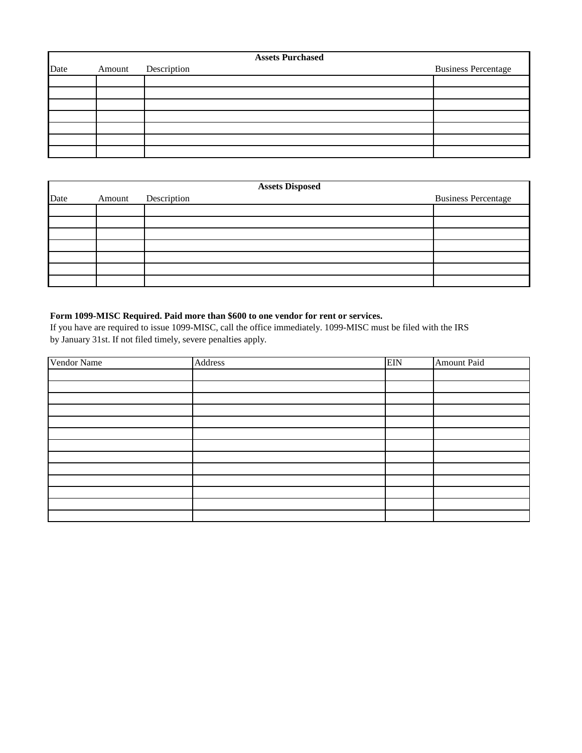|      |        | <b>Assets Purchased</b> |                            |
|------|--------|-------------------------|----------------------------|
| Date | Amount | Description             | <b>Business Percentage</b> |
|      |        |                         |                            |
|      |        |                         |                            |
|      |        |                         |                            |
|      |        |                         |                            |
|      |        |                         |                            |
|      |        |                         |                            |
|      |        |                         |                            |

|      |        | <b>Assets Disposed</b> |                            |
|------|--------|------------------------|----------------------------|
| Date | Amount | Description            | <b>Business Percentage</b> |
|      |        |                        |                            |
|      |        |                        |                            |
|      |        |                        |                            |
|      |        |                        |                            |
|      |        |                        |                            |
|      |        |                        |                            |
|      |        |                        |                            |

## **Form 1099-MISC Required. Paid more than \$600 to one vendor for rent or services.**

If you have are required to issue 1099-MISC, call the office immediately. 1099-MISC must be filed with the IRS by January 31st. If not filed timely, severe penalties apply.

| Vendor Name | Address | <b>EIN</b> | <b>Amount Paid</b> |
|-------------|---------|------------|--------------------|
|             |         |            |                    |
|             |         |            |                    |
|             |         |            |                    |
|             |         |            |                    |
|             |         |            |                    |
|             |         |            |                    |
|             |         |            |                    |
|             |         |            |                    |
|             |         |            |                    |
|             |         |            |                    |
|             |         |            |                    |
|             |         |            |                    |
|             |         |            |                    |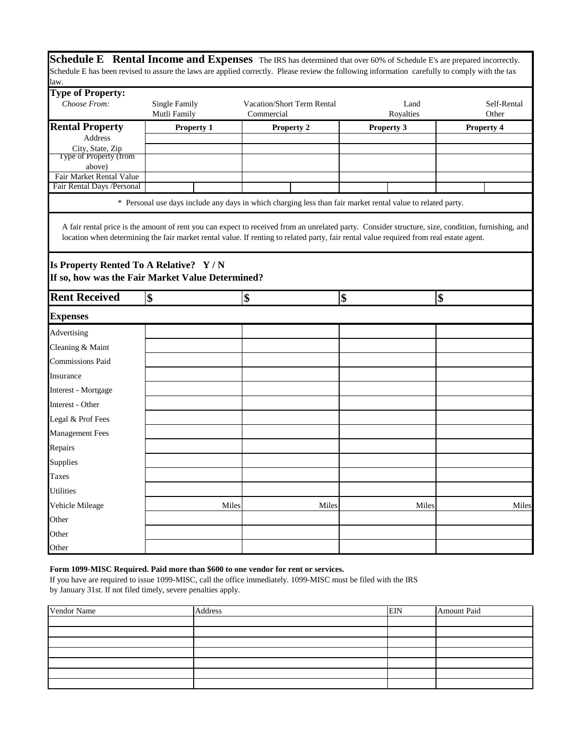**Schedule E** Rental Income and Expenses The IRS has determined that over 60% of Schedule E's are prepared incorrectly. Schedule E has been revised to assure the laws are applied correctly. Please review the following information carefully to comply with the tax law.

| <b>Type of Property:</b>                   |                                                                                                                                                                                                                                                                                               |                                                 |                   |                      |
|--------------------------------------------|-----------------------------------------------------------------------------------------------------------------------------------------------------------------------------------------------------------------------------------------------------------------------------------------------|-------------------------------------------------|-------------------|----------------------|
| Choose From:                               | <b>Single Family</b><br>Mutli Family                                                                                                                                                                                                                                                          | <b>Vacation/Short Term Rental</b><br>Commercial | Land<br>Royalties | Self-Rental<br>Other |
| <b>Rental Property</b>                     | <b>Property 1</b>                                                                                                                                                                                                                                                                             | <b>Property 2</b>                               | Property 3        | Property 4           |
| <b>Address</b>                             |                                                                                                                                                                                                                                                                                               |                                                 |                   |                      |
| City, State, Zip<br>Type of Property (from |                                                                                                                                                                                                                                                                                               |                                                 |                   |                      |
| above)<br>Fair Market Rental Value         |                                                                                                                                                                                                                                                                                               |                                                 |                   |                      |
| Fair Rental Days / Personal                |                                                                                                                                                                                                                                                                                               |                                                 |                   |                      |
|                                            | * Personal use days include any days in which charging less than fair market rental value to related party.                                                                                                                                                                                   |                                                 |                   |                      |
| Is Property Rented To A Relative? Y/N      | A fair rental price is the amount of rent you can expect to received from an unrelated party. Consider structure, size, condition, furnishing, and<br>location when determining the fair market rental value. If renting to related party, fair rental value required from real estate agent. |                                                 |                   |                      |
|                                            | If so, how was the Fair Market Value Determined?                                                                                                                                                                                                                                              |                                                 |                   |                      |
| <b>Rent Received</b>                       | \$                                                                                                                                                                                                                                                                                            | \$                                              | \$                | \$                   |
| <b>Expenses</b>                            |                                                                                                                                                                                                                                                                                               |                                                 |                   |                      |
| Advertising                                |                                                                                                                                                                                                                                                                                               |                                                 |                   |                      |
| Cleaning & Maint                           |                                                                                                                                                                                                                                                                                               |                                                 |                   |                      |
| <b>Commissions Paid</b>                    |                                                                                                                                                                                                                                                                                               |                                                 |                   |                      |
| Insurance                                  |                                                                                                                                                                                                                                                                                               |                                                 |                   |                      |
| Interest - Mortgage                        |                                                                                                                                                                                                                                                                                               |                                                 |                   |                      |
| Interest - Other                           |                                                                                                                                                                                                                                                                                               |                                                 |                   |                      |
| Legal & Prof Fees                          |                                                                                                                                                                                                                                                                                               |                                                 |                   |                      |
| <b>Management Fees</b>                     |                                                                                                                                                                                                                                                                                               |                                                 |                   |                      |
| Repairs                                    |                                                                                                                                                                                                                                                                                               |                                                 |                   |                      |
| Supplies                                   |                                                                                                                                                                                                                                                                                               |                                                 |                   |                      |
| Taxes                                      |                                                                                                                                                                                                                                                                                               |                                                 |                   |                      |
| <b>Utilities</b>                           |                                                                                                                                                                                                                                                                                               |                                                 |                   |                      |
| Vehicle Mileage                            | Miles                                                                                                                                                                                                                                                                                         | Miles                                           | Miles             | Miles                |
| Other                                      |                                                                                                                                                                                                                                                                                               |                                                 |                   |                      |
| Other                                      |                                                                                                                                                                                                                                                                                               |                                                 |                   |                      |
| Other                                      |                                                                                                                                                                                                                                                                                               |                                                 |                   |                      |

### **Form 1099-MISC Required. Paid more than \$600 to one vendor for rent or services.**

If you have are required to issue 1099-MISC, call the office immediately. 1099-MISC must be filed with the IRS by January 31st. If not filed timely, severe penalties apply.

| Vendor Name | Address | <b>EIN</b> | Amount Paid |
|-------------|---------|------------|-------------|
|             |         |            |             |
|             |         |            |             |
|             |         |            |             |
|             |         |            |             |
|             |         |            |             |
|             |         |            |             |
|             |         |            |             |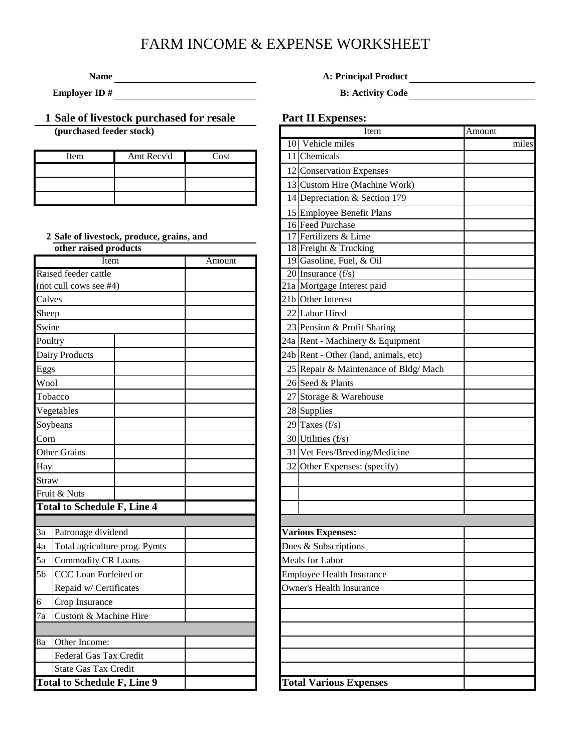# FARM INCOME & EXPENSE WORKSHEET

**Name A: Principal Product** 

**Employer ID # B:** Activity Code

# **1 Sale of livestock purchased for resale Part II Expenses:**

**(purchased feeder stock)** 

| Item | Amt Recy'd | `ost |  | 11 Chemicals  |
|------|------------|------|--|---------------|
|      |            |      |  | 12 Conservati |
|      |            |      |  | 13 Custom H   |
|      |            |      |  | 14 Depreciati |

**2** Sale of livestock, produce, grains, and **Fertilizers & Lime other raised products** 

|         | Item                               |  | Amount |  | 19 Gasoline, Fuel, & Oil         |
|---------|------------------------------------|--|--------|--|----------------------------------|
|         | Raised feeder cattle               |  |        |  | 20 Insurance $(f/s)$             |
|         | (not cull cows see #4)             |  |        |  | 21a Mortgage Interest paid       |
| Calves  |                                    |  |        |  | 21b Other Interest               |
| Sheep   |                                    |  |        |  | 22 Labor Hired                   |
| Swine   |                                    |  |        |  | 23 Pension & Profit Sharing      |
| Poultry |                                    |  |        |  | 24a Rent - Machinery & Equi      |
|         | Dairy Products                     |  |        |  | 24b Rent - Other (land, anima    |
| Eggs    |                                    |  |        |  | 25 Repair & Maintenance of       |
| Wool    |                                    |  |        |  | 26 Seed & Plants                 |
|         | Tobacco                            |  |        |  | 27 Storage & Warehouse           |
|         | Vegetables                         |  |        |  | 28 Supplies                      |
|         | Soybeans                           |  |        |  | 29 Taxes $(f/s)$                 |
| Corn    |                                    |  |        |  | 30 Utilities (f/s)               |
|         | <b>Other Grains</b>                |  |        |  | 31 Vet Fees/Breeding/Medio       |
| Hay     |                                    |  |        |  | 32 Other Expenses: (specify      |
| Straw   |                                    |  |        |  |                                  |
|         | Fruit & Nuts                       |  |        |  |                                  |
|         | <b>Total to Schedule F, Line 4</b> |  |        |  |                                  |
|         |                                    |  |        |  |                                  |
| 3a      | Patronage dividend                 |  |        |  | <b>Various Expenses:</b>         |
| 4a      | Total agriculture prog. Pymts      |  |        |  | Dues & Subscriptions             |
| 5a      | <b>Commodity CR Loans</b>          |  |        |  | Meals for Labor                  |
| 5b      | CCC Loan Forfeited or              |  |        |  | <b>Employee Health Insurance</b> |
|         | Repaid w/ Certificates             |  |        |  | <b>Owner's Health Insurance</b>  |
| 6       | Crop Insurance                     |  |        |  |                                  |
| 7a      | Custom & Machine Hire              |  |        |  |                                  |
|         |                                    |  |        |  |                                  |
| 8a      | Other Income:                      |  |        |  |                                  |
|         | Federal Gas Tax Credit             |  |        |  |                                  |
|         | <b>State Gas Tax Credit</b>        |  |        |  |                                  |
|         | <b>Total to Schedule F, Line 9</b> |  |        |  | <b>Total Various Expenses</b>    |

|    | Item                                  | Amount |
|----|---------------------------------------|--------|
| 10 | Vehicle miles                         | miles  |
|    | 11 Chemicals                          |        |
|    | 12 Conservation Expenses              |        |
|    | 13 Custom Hire (Machine Work)         |        |
|    | 14 Depreciation & Section 179         |        |
|    | 15 Employee Benefit Plans             |        |
|    | 16 Feed Purchase                      |        |
|    | 17 Fertilizers & Lime                 |        |
|    | 18 Freight & Trucking                 |        |
|    | 19 Gasoline, Fuel, & Oil              |        |
|    | 20 Insurance $(f/s)$                  |        |
|    | 21a Mortgage Interest paid            |        |
|    | 21b Other Interest                    |        |
|    | 22 Labor Hired                        |        |
|    | 23 Pension & Profit Sharing           |        |
|    | 24a Rent - Machinery & Equipment      |        |
|    | 24b Rent - Other (land, animals, etc) |        |
|    | 25 Repair & Maintenance of Bldg/ Mach |        |
|    | 26 Seed & Plants                      |        |
|    | 27 Storage & Warehouse                |        |
|    | 28 Supplies                           |        |
|    | 29 Taxes $(f/s)$                      |        |
|    | 30 Utilities (f/s)                    |        |
|    | 31 Vet Fees/Breeding/Medicine         |        |
|    | 32 Other Expenses: (specify)          |        |
|    |                                       |        |
|    |                                       |        |
|    |                                       |        |
|    |                                       |        |
|    | <b>Various Expenses:</b>              |        |
|    | Dues & Subscriptions                  |        |
|    | Meals for Labor                       |        |
|    | <b>Employee Health Insurance</b>      |        |
|    | <b>Owner's Health Insurance</b>       |        |
|    |                                       |        |
|    |                                       |        |
|    |                                       |        |
|    |                                       |        |
|    |                                       |        |
|    |                                       |        |
|    | <b>Total Various Expenses</b>         |        |